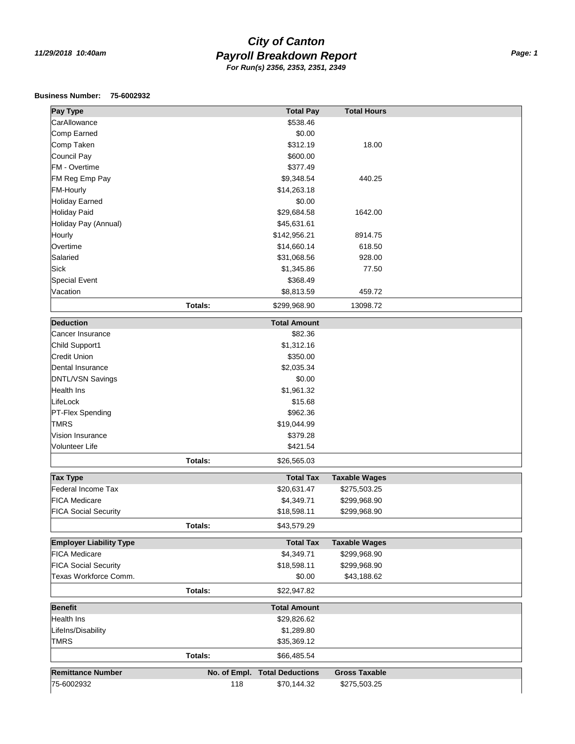## *Payroll Breakdown Report 11/29/2018 10:40am Page: 1 City of Canton For Run(s) 2356, 2353, 2351, 2349*

## **Business Number: 75-6002932**

| Pay Type                       |                | <b>Total Pay</b>        | <b>Total Hours</b>   |  |
|--------------------------------|----------------|-------------------------|----------------------|--|
| CarAllowance                   |                | \$538.46                |                      |  |
| Comp Earned                    |                | \$0.00                  |                      |  |
| Comp Taken                     |                | \$312.19                | 18.00                |  |
| Council Pay                    |                | \$600.00                |                      |  |
| FM - Overtime                  |                | \$377.49                |                      |  |
| FM Reg Emp Pay                 |                | \$9,348.54              | 440.25               |  |
| FM-Hourly                      |                | \$14,263.18             |                      |  |
| <b>Holiday Earned</b>          |                | \$0.00                  |                      |  |
| <b>Holiday Paid</b>            |                | \$29,684.58             | 1642.00              |  |
| Holiday Pay (Annual)           |                | \$45,631.61             |                      |  |
| Hourly                         |                | \$142,956.21            | 8914.75              |  |
| Overtime                       |                | \$14,660.14             | 618.50               |  |
| Salaried                       |                | \$31,068.56             | 928.00               |  |
| <b>Sick</b>                    |                | \$1,345.86              | 77.50                |  |
| <b>Special Event</b>           |                | \$368.49                |                      |  |
| Vacation                       |                | \$8,813.59              | 459.72               |  |
|                                | Totals:        | \$299,968.90            | 13098.72             |  |
|                                |                |                         |                      |  |
| <b>Deduction</b>               |                | <b>Total Amount</b>     |                      |  |
| Cancer Insurance               |                | \$82.36                 |                      |  |
| Child Support1                 |                | \$1,312.16              |                      |  |
| <b>Credit Union</b>            |                | \$350.00                |                      |  |
| Dental Insurance               |                | \$2,035.34              |                      |  |
| DNTL/VSN Savings               |                | \$0.00                  |                      |  |
| <b>Health Ins</b>              |                | \$1,961.32              |                      |  |
| LifeLock                       |                | \$15.68                 |                      |  |
| PT-Flex Spending               |                | \$962.36                |                      |  |
| <b>TMRS</b>                    |                | \$19,044.99             |                      |  |
| Vision Insurance               |                | \$379.28                |                      |  |
| Volunteer Life                 |                | \$421.54                |                      |  |
|                                | Totals:        | \$26,565.03             |                      |  |
| <b>Tax Type</b>                |                | <b>Total Tax</b>        | <b>Taxable Wages</b> |  |
| Federal Income Tax             |                | \$20,631.47             | \$275,503.25         |  |
| <b>FICA Medicare</b>           |                | \$4,349.71              | \$299,968.90         |  |
| <b>FICA Social Security</b>    |                | \$18,598.11             | \$299,968.90         |  |
|                                | Totals:        | \$43,579.29             |                      |  |
|                                |                |                         |                      |  |
| <b>Employer Liability Type</b> |                | <b>Total Tax</b>        | <b>Taxable Wages</b> |  |
| <b>FICA Medicare</b>           |                | \$4,349.71              | \$299,968.90         |  |
| <b>FICA Social Security</b>    |                | \$18,598.11             | \$299,968.90         |  |
| Texas Workforce Comm.          |                | \$0.00                  | \$43,188.62          |  |
|                                | <b>Totals:</b> | \$22,947.82             |                      |  |
| <b>Benefit</b>                 |                | <b>Total Amount</b>     |                      |  |
| Health Ins                     |                | \$29,826.62             |                      |  |
| LifeIns/Disability             |                | \$1,289.80              |                      |  |
| <b>TMRS</b>                    |                | \$35,369.12             |                      |  |
|                                | Totals:        | \$66,485.54             |                      |  |
|                                |                |                         |                      |  |
| <b>Remittance Number</b>       | No. of Empl.   | <b>Total Deductions</b> | <b>Gross Taxable</b> |  |
| 75-6002932                     | 118            | \$70,144.32             | \$275,503.25         |  |